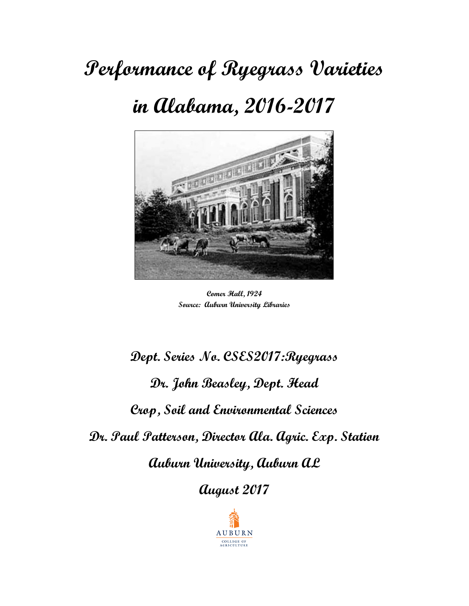## **Performance of Ryegrass Varieties**

### **in Alabama, 2016-2017**



**Comer Hall, 1924 Source: Auburn University Libraries** 

# **Dept. Series No. CSES2017:Ryegrass Dr. John Beasley, Dept. Head Crop, Soil and Environmental Sciences Dr. Paul Patterson, Director Ala. Agric. Exp. Station Auburn University, Auburn AL**

**August 2017** 

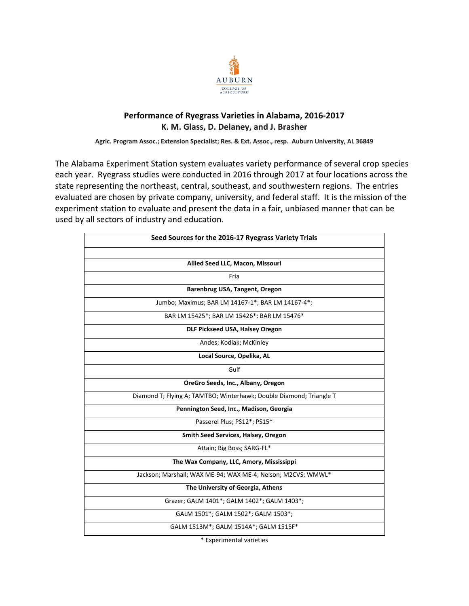

### **Performance of Ryegrass Varieties in Alabama, 2016‐2017 K. M. Glass, D. Delaney, and J. Brasher**

**Agric. Program Assoc.; Extension Specialist; Res. & Ext. Assoc., resp. Auburn University, AL 36849** 

The Alabama Experiment Station system evaluates variety performance of several crop species each year. Ryegrass studies were conducted in 2016 through 2017 at four locations across the state representing the northeast, central, southeast, and southwestern regions. The entries evaluated are chosen by private company, university, and federal staff. It is the mission of the experiment station to evaluate and present the data in a fair, unbiased manner that can be used by all sectors of industry and education.

| Seed Sources for the 2016-17 Ryegrass Variety Trials                |
|---------------------------------------------------------------------|
|                                                                     |
| Allied Seed LLC, Macon, Missouri                                    |
| Fria                                                                |
| Barenbrug USA, Tangent, Oregon                                      |
| Jumbo; Maximus; BAR LM 14167-1*; BAR LM 14167-4*;                   |
| BAR LM 15425*; BAR LM 15426*; BAR LM 15476*                         |
| DLF Pickseed USA, Halsey Oregon                                     |
| Andes; Kodiak; McKinley                                             |
| Local Source, Opelika, AL                                           |
| Gulf                                                                |
| OreGro Seeds, Inc., Albany, Oregon                                  |
| Diamond T; Flying A; TAMTBO; Winterhawk; Double Diamond; Triangle T |
| Pennington Seed, Inc., Madison, Georgia                             |
| Passerel Plus; PS12*; PS15*                                         |
| Smith Seed Services, Halsey, Oregon                                 |
| Attain; Big Boss; SARG-FL*                                          |
| The Wax Company, LLC, Amory, Mississippi                            |
| Jackson; Marshall; WAX ME-94; WAX ME-4; Nelson; M2CVS; WMWL*        |
| The University of Georgia, Athens                                   |
| Grazer; GALM 1401*; GALM 1402*; GALM 1403*;                         |
| GALM 1501*; GALM 1502*; GALM 1503*;                                 |
| GALM 1513M*; GALM 1514A*; GALM 1515F*                               |

\* Experimental varieties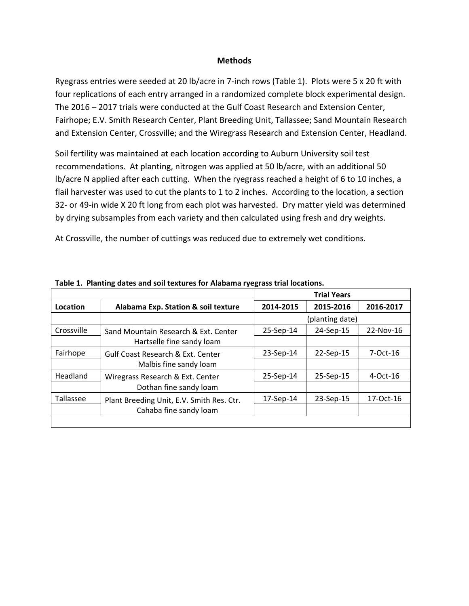#### **Methods**

Ryegrass entries were seeded at 20 lb/acre in 7‐inch rows (Table 1). Plots were 5 x 20 ft with four replications of each entry arranged in a randomized complete block experimental design. The 2016 – 2017 trials were conducted at the Gulf Coast Research and Extension Center, Fairhope; E.V. Smith Research Center, Plant Breeding Unit, Tallassee; Sand Mountain Research and Extension Center, Crossville; and the Wiregrass Research and Extension Center, Headland.

Soil fertility was maintained at each location according to Auburn University soil test recommendations. At planting, nitrogen was applied at 50 lb/acre, with an additional 50 lb/acre N applied after each cutting. When the ryegrass reached a height of 6 to 10 inches, a flail harvester was used to cut the plants to 1 to 2 inches. According to the location, a section 32- or 49-in wide X 20 ft long from each plot was harvested. Dry matter yield was determined by drying subsamples from each variety and then calculated using fresh and dry weights.

At Crossville, the number of cuttings was reduced due to extremely wet conditions.

|            |                                              |           | <b>Trial Years</b> |             |
|------------|----------------------------------------------|-----------|--------------------|-------------|
| Location   | Alabama Exp. Station & soil texture          | 2014-2015 | 2015-2016          | 2016-2017   |
|            |                                              |           | (planting date)    |             |
| Crossville | Sand Mountain Research & Ext. Center         | 25-Sep-14 | 24-Sep-15          | 22-Nov-16   |
|            | Hartselle fine sandy loam                    |           |                    |             |
| Fairhope   | <b>Gulf Coast Research &amp; Ext. Center</b> | 23-Sep-14 | 22-Sep-15          | 7-Oct-16    |
|            | Malbis fine sandy loam                       |           |                    |             |
| Headland   | Wiregrass Research & Ext. Center             | 25-Sep-14 | 25-Sep-15          | $4$ -Oct-16 |
|            | Dothan fine sandy loam                       |           |                    |             |
| Tallassee  | Plant Breeding Unit, E.V. Smith Res. Ctr.    | 17-Sep-14 | 23-Sep-15          | 17-Oct-16   |
|            | Cahaba fine sandy loam                       |           |                    |             |
|            |                                              |           |                    |             |

**Table 1. Planting dates and soil textures for Alabama ryegrass trial locations.**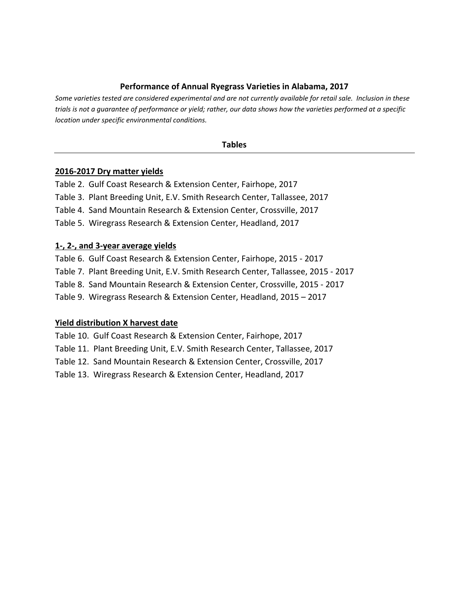### **Performance of Annual Ryegrass Varieties in Alabama, 2017**

*Some varieties tested are considered experimental and are not currently available for retail sale. Inclusion in these trials is not a guarantee of performance or yield; rather, our data shows how the varieties performed at a specific location under specific environmental conditions.* 

#### **Tables**

#### **2016‐2017 Dry matter yields**

Table 2. Gulf Coast Research & Extension Center, Fairhope, 2017 Table 3. Plant Breeding Unit, E.V. Smith Research Center, Tallassee, 2017 Table 4. Sand Mountain Research & Extension Center, Crossville, 2017 Table 5. Wiregrass Research & Extension Center, Headland, 2017

#### **1‐, 2‐, and 3‐year average yields**

Table 6. Gulf Coast Research & Extension Center, Fairhope, 2015 ‐ 2017 Table 7. Plant Breeding Unit, E.V. Smith Research Center, Tallassee, 2015 ‐ 2017 Table 8. Sand Mountain Research & Extension Center, Crossville, 2015 ‐ 2017 Table 9. Wiregrass Research & Extension Center, Headland, 2015 – 2017

#### **Yield distribution X harvest date**

Table 10. Gulf Coast Research & Extension Center, Fairhope, 2017

Table 11. Plant Breeding Unit, E.V. Smith Research Center, Tallassee, 2017

Table 12. Sand Mountain Research & Extension Center, Crossville, 2017

Table 13. Wiregrass Research & Extension Center, Headland, 2017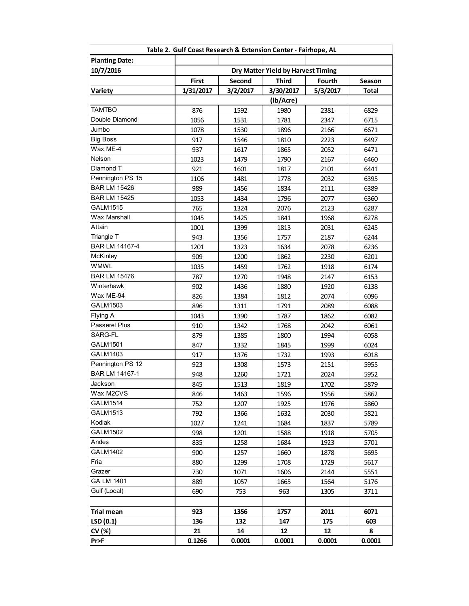|                       | Table 2. Gulf Coast Research & Extension Center - Fairhope, AL |          |                                    |          |        |
|-----------------------|----------------------------------------------------------------|----------|------------------------------------|----------|--------|
| <b>Planting Date:</b> |                                                                |          |                                    |          |        |
| 10/7/2016             |                                                                |          | Dry Matter Yield by Harvest Timing |          |        |
|                       | First                                                          | Second   | <b>Third</b>                       | Fourth   | Season |
| Variety               | 1/31/2017                                                      | 3/2/2017 | 3/30/2017                          | 5/3/2017 | Total  |
|                       |                                                                |          | (Ib/Acre)                          |          |        |
| <b>TAMTBO</b>         | 876                                                            | 1592     | 1980                               | 2381     | 6829   |
| Double Diamond        | 1056                                                           | 1531     | 1781                               | 2347     | 6715   |
| Jumbo                 | 1078                                                           | 1530     | 1896                               | 2166     | 6671   |
| <b>Big Boss</b>       | 917                                                            | 1546     | 1810                               | 2223     | 6497   |
| Wax ME-4              | 937                                                            | 1617     | 1865                               | 2052     | 6471   |
| Nelson                | 1023                                                           | 1479     | 1790                               | 2167     | 6460   |
| Diamond T             | 921                                                            | 1601     | 1817                               | 2101     | 6441   |
| Pennington PS 15      | 1106                                                           | 1481     | 1778                               | 2032     | 6395   |
| <b>BAR LM 15426</b>   | 989                                                            | 1456     | 1834                               | 2111     | 6389   |
| <b>BAR LM 15425</b>   | 1053                                                           | 1434     | 1796                               | 2077     | 6360   |
| GALM1515              | 765                                                            | 1324     | 2076                               | 2123     | 6287   |
| <b>Wax Marshall</b>   | 1045                                                           | 1425     | 1841                               | 1968     | 6278   |
| Attain                | 1001                                                           | 1399     | 1813                               | 2031     | 6245   |
| Triangle T            | 943                                                            | 1356     | 1757                               | 2187     | 6244   |
| BAR LM 14167-4        | 1201                                                           | 1323     | 1634                               | 2078     | 6236   |
| McKinley              | 909                                                            | 1200     | 1862                               | 2230     | 6201   |
| <b>WMWL</b>           | 1035                                                           | 1459     | 1762                               | 1918     | 6174   |
| <b>BAR LM 15476</b>   | 787                                                            | 1270     | 1948                               | 2147     | 6153   |
| Winterhawk            | 902                                                            | 1436     | 1880                               | 1920     | 6138   |
| Wax ME-94             | 826                                                            | 1384     | 1812                               | 2074     | 6096   |
| GALM1503              | 896                                                            | 1311     | 1791                               | 2089     | 6088   |
| Flying A              | 1043                                                           | 1390     | 1787                               | 1862     | 6082   |
| Passerel Plus         | 910                                                            | 1342     | 1768                               | 2042     | 6061   |
| SARG-FL               | 879                                                            | 1385     | 1800                               | 1994     | 6058   |
| GALM1501              | 847                                                            | 1332     | 1845                               | 1999     | 6024   |
| GALM1403              | 917                                                            | 1376     | 1732                               | 1993     | 6018   |
| Pennington PS 12      | 923                                                            | 1308     | 1573                               | 2151     | 5955   |
| BAR LM 14167-1        | 948                                                            | 1260     | 1721                               | 2024     | 5952   |
| Jackson               | 845                                                            | 1513     | 1819                               | 1702     | 5879   |
| Wax M2CVS             | 846                                                            | 1463     | 1596                               | 1956     | 5862   |
| GALM1514              | 752                                                            | 1207     | 1925                               | 1976     | 5860   |
| <b>GALM1513</b>       | 792                                                            | 1366     | 1632                               | 2030     | 5821   |
| Kodiak                | 1027                                                           | 1241     | 1684                               | 1837     | 5789   |
| <b>GALM1502</b>       | 998                                                            | 1201     | 1588                               | 1918     | 5705   |
| Andes                 | 835                                                            | 1258     | 1684                               | 1923     | 5701   |
| <b>GALM1402</b>       | 900                                                            | 1257     | 1660                               | 1878     | 5695   |
| Fria                  | 880                                                            | 1299     | 1708                               | 1729     | 5617   |
| Grazer                | 730                                                            | 1071     | 1606                               | 2144     | 5551   |
| GA LM 1401            | 889                                                            | 1057     | 1665                               | 1564     | 5176   |
| Gulf (Local)          | 690                                                            | 753      | 963                                | 1305     | 3711   |
|                       |                                                                |          |                                    |          |        |
| Trial mean            | 923                                                            | 1356     | 1757                               | 2011     | 6071   |
| LSD(0.1)              | 136                                                            | 132      | 147                                | 175      | 603    |
| CV (%)                | 21                                                             | 14       | 12                                 | 12       | 8      |
| Pr>F                  | 0.1266                                                         | 0.0001   | 0.0001                             | 0.0001   | 0.0001 |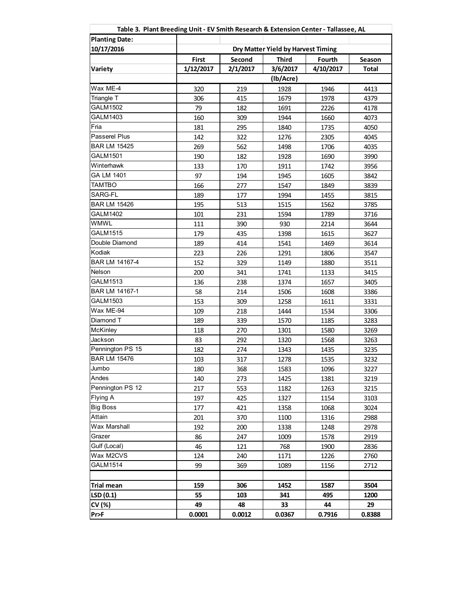| Table 3. Plant Breeding Unit - EV Smith Research & Extension Center - Tallassee, AL |           |          |                                    |           |              |
|-------------------------------------------------------------------------------------|-----------|----------|------------------------------------|-----------|--------------|
| <b>Planting Date:</b>                                                               |           |          |                                    |           |              |
| 10/17/2016                                                                          |           |          | Dry Matter Yield by Harvest Timing |           |              |
|                                                                                     | First     | Second   | <b>Third</b>                       | Fourth    | Season       |
| Variety                                                                             | 1/12/2017 | 2/1/2017 | 3/6/2017                           | 4/10/2017 | <b>Total</b> |
|                                                                                     |           |          | (Ib/Acre)                          |           |              |
| Wax ME-4                                                                            | 320       | 219      | 1928                               | 1946      | 4413         |
| Triangle T                                                                          | 306       | 415      | 1679                               | 1978      | 4379         |
| <b>GALM1502</b>                                                                     | 79        | 182      | 1691                               | 2226      | 4178         |
| GALM1403                                                                            | 160       | 309      | 1944                               | 1660      | 4073         |
| Fria                                                                                | 181       | 295      | 1840                               | 1735      | 4050         |
| Passerel Plus                                                                       | 142       | 322      | 1276                               | 2305      | 4045         |
| <b>BAR LM 15425</b>                                                                 | 269       | 562      | 1498                               | 1706      | 4035         |
| <b>GALM1501</b>                                                                     | 190       | 182      | 1928                               | 1690      | 3990         |
| Winterhawk                                                                          | 133       | 170      | 1911                               | 1742      | 3956         |
| GA LM 1401                                                                          | 97        | 194      | 1945                               | 1605      | 3842         |
| <b>TAMTBO</b>                                                                       | 166       | 277      | 1547                               | 1849      | 3839         |
| SARG-FL                                                                             | 189       | 177      | 1994                               | 1455      | 3815         |
| <b>BAR LM 15426</b>                                                                 | 195       | 513      | 1515                               | 1562      | 3785         |
| <b>GALM1402</b>                                                                     | 101       | 231      | 1594                               | 1789      | 3716         |
| <b>WMWL</b>                                                                         | 111       | 390      | 930                                | 2214      | 3644         |
| <b>GALM1515</b>                                                                     | 179       | 435      | 1398                               | 1615      | 3627         |
| Double Diamond                                                                      | 189       | 414      | 1541                               | 1469      | 3614         |
| Kodiak                                                                              | 223       | 226      | 1291                               | 1806      | 3547         |
| BAR LM 14167-4                                                                      | 152       | 329      | 1149                               | 1880      | 3511         |
| Nelson                                                                              | 200       | 341      | 1741                               | 1133      | 3415         |
| GALM1513                                                                            | 136       | 238      | 1374                               | 1657      | 3405         |
| BAR LM 14167-1                                                                      | 58        | 214      | 1506                               | 1608      | 3386         |
| <b>GALM1503</b>                                                                     | 153       | 309      | 1258                               | 1611      | 3331         |
| Wax ME-94                                                                           | 109       | 218      | 1444                               | 1534      | 3306         |
| Diamond T                                                                           | 189       | 339      | 1570                               | 1185      | 3283         |
| <b>McKinley</b>                                                                     | 118       | 270      | 1301                               | 1580      | 3269         |
| Jackson                                                                             | 83        | 292      | 1320                               | 1568      | 3263         |
| Pennington PS 15                                                                    | 182       | 274      | 1343                               | 1435      | 3235         |
| <b>BAR LM 15476</b>                                                                 | 103       | 317      | 1278                               | 1535      | 3232         |
| Jumbo                                                                               | 180       | 368      | 1583                               | 1096      | 3227         |
| Andes                                                                               | 140       | 273      | 1425                               | 1381      | 3219         |
| Pennington PS 12                                                                    | 217       | 553      | 1182                               | 1263      | 3215         |
| Flying A                                                                            | 197       | 425      | 1327                               | 1154      | 3103         |
| <b>Big Boss</b>                                                                     | 177       | 421      | 1358                               | 1068      | 3024         |
| Attain                                                                              | 201       | 370      | 1100                               | 1316      | 2988         |
| Wax Marshall                                                                        | 192       | 200      | 1338                               | 1248      | 2978         |
| Grazer                                                                              | 86        | 247      | 1009                               | 1578      | 2919         |
| Gulf (Local)                                                                        | 46        | 121      | 768                                | 1900      | 2836         |
| Wax M2CVS                                                                           | 124       | 240      | 1171                               | 1226      | 2760         |
| <b>GALM1514</b>                                                                     | 99        | 369      | 1089                               | 1156      | 2712         |
|                                                                                     |           |          |                                    |           |              |
| <b>Trial mean</b>                                                                   | 159       | 306      | 1452                               | 1587      | 3504         |
| LSD(0.1)                                                                            | 55        | 103      | 341                                | 495       | 1200         |
| CV (%)                                                                              | 49        | 48       | 33                                 | 44        | 29           |
| Pr>F                                                                                | 0.0001    | 0.0012   | 0.0367                             | 0.7916    | 0.8388       |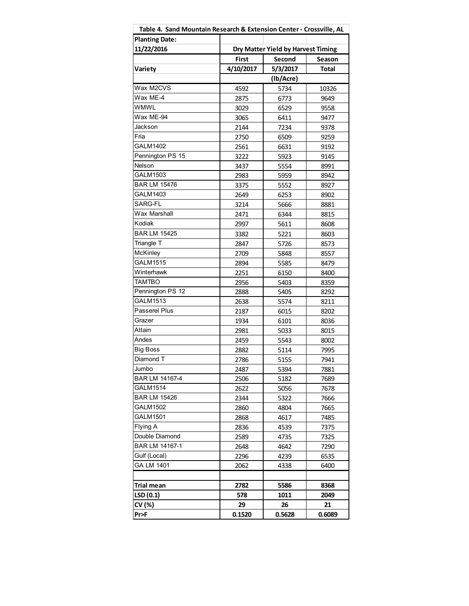| Table 4. Sand Mountain Research & Extension Center - Crossville, AL |           |                                    |              |
|---------------------------------------------------------------------|-----------|------------------------------------|--------------|
| <b>Planting Date:</b>                                               |           |                                    |              |
| 11/22/2016                                                          |           | Dry Matter Yield by Harvest Timing |              |
|                                                                     | First     | Second                             | Season       |
| Variety                                                             | 4/10/2017 | 5/3/2017                           | <b>Total</b> |
|                                                                     |           | (Ib/Acre)                          |              |
| Wax M2CVS                                                           | 4592      | 5734                               | 10326        |
| Wax ME-4                                                            | 2875      | 6773                               | 9649         |
| <b>WMWL</b>                                                         | 3029      | 6529                               | 9558         |
| Wax ME-94                                                           | 3065      | 6411                               | 9477         |
| Jackson                                                             | 2144      | 7234                               | 9378         |
| Fria                                                                | 2750      | 6509                               | 9259         |
| <b>GALM1402</b>                                                     | 2561      | 6631                               | 9192         |
| Pennington PS 15                                                    | 3222      | 5923                               | 9145         |
| Nelson                                                              | 3437      | 5554                               | 8991         |
| GALM1503                                                            | 2983      | 5959                               | 8942         |
| <b>BAR LM 15476</b>                                                 | 3375      | 5552                               | 8927         |
| GALM1403                                                            | 2649      | 6253                               | 8902         |
| SARG-FL                                                             | 3214      | 5666                               | 8881         |
| <b>Wax Marshall</b>                                                 | 2471      | 6344                               | 8815         |
| Kodiak                                                              | 2997      | 5611                               | 8608         |
| <b>BAR LM 15425</b>                                                 | 3382      | 5221                               | 8603         |
| Triangle T                                                          | 2847      | 5726                               | 8573         |
| McKinley                                                            | 2709      | 5848                               | 8557         |
| <b>GALM1515</b>                                                     | 2894      | 5585                               | 8479         |
| Winterhawk                                                          | 2251      | 6150                               | 8400         |
| <b>TAMTBO</b>                                                       | 2956      | 5403                               | 8359         |
| Pennington PS 12                                                    | 2888      | 5405                               | 8292         |
| GALM1513                                                            | 2638      | 5574                               | 8211         |
| Passerel Plus                                                       | 2187      | 6015                               | 8202         |
| Grazer                                                              | 1934      | 6101                               | 8036         |
| Attain                                                              | 2981      | 5033                               | 8015         |
| Andes                                                               | 2459      | 5543                               | 8002         |
| <b>Big Boss</b>                                                     | 2882      | 5114                               | 7995         |
| Diamond T                                                           | 2786      | 5155                               | 7941         |
| Jumbo                                                               | 2487      | 5394                               | 7881         |
| BAR LM 14167-4                                                      | 2506      | 5182                               | 7689         |
| <b>GALM1514</b>                                                     | 2622      | 5056                               | 7678         |
| <b>BAR LM 15426</b>                                                 | 2344      | 5322                               | 7666         |
| GALM1502                                                            | 2860      | 4804                               | 7665         |
| <b>GALM1501</b>                                                     | 2868      | 4617                               | 7485         |
| Flying A                                                            | 2836      | 4539                               | 7375         |
| Double Diamond                                                      | 2589      | 4735                               | 7325         |
| BAR LM 14167-1                                                      | 2648      | 4642                               | 7290         |
| Gulf (Local)                                                        | 2296      | 4239                               | 6535         |
| GA LM 1401                                                          | 2062      | 4338                               | 6400         |
|                                                                     |           |                                    |              |
| Trial mean                                                          | 2782      | 5586                               | 8368         |
| LSD(0.1)                                                            | 578       | 1011                               | 2049         |
| CV (%)                                                              | 29        | 26                                 | 21           |
| Pr>F                                                                | 0.1520    | 0.5628                             | 0.6089       |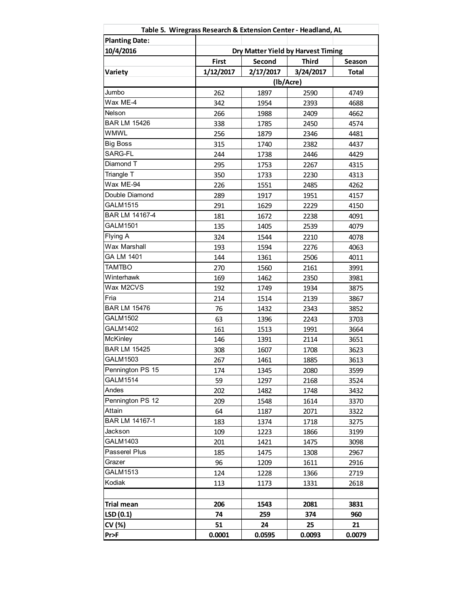| Table 5. Wiregrass Research & Extension Center - Headland, AL |              |                                    |              |              |
|---------------------------------------------------------------|--------------|------------------------------------|--------------|--------------|
| <b>Planting Date:</b>                                         |              |                                    |              |              |
| 10/4/2016                                                     |              | Dry Matter Yield by Harvest Timing |              |              |
|                                                               | <b>First</b> | Second                             | <b>Third</b> | Season       |
| Variety                                                       | 1/12/2017    | 2/17/2017                          | 3/24/2017    | <b>Total</b> |
|                                                               |              | (Ib/Acre)                          |              |              |
| Jumbo                                                         | 262          | 1897                               | 2590         | 4749         |
| Wax ME-4                                                      | 342          | 1954                               | 2393         | 4688         |
| Nelson                                                        | 266          | 1988                               | 2409         | 4662         |
| <b>BAR LM 15426</b>                                           | 338          | 1785                               | 2450         | 4574         |
| WMWL                                                          | 256          | 1879                               | 2346         | 4481         |
| <b>Big Boss</b>                                               | 315          | 1740                               | 2382         | 4437         |
| SARG-FL                                                       | 244          | 1738                               | 2446         | 4429         |
| Diamond T                                                     | 295          | 1753                               | 2267         | 4315         |
| Triangle T                                                    | 350          | 1733                               | 2230         | 4313         |
| Wax ME-94                                                     | 226          | 1551                               | 2485         | 4262         |
| Double Diamond                                                | 289          | 1917                               | 1951         | 4157         |
| <b>GALM1515</b>                                               | 291          | 1629                               | 2229         | 4150         |
| BAR LM 14167-4                                                | 181          | 1672                               | 2238         | 4091         |
| <b>GALM1501</b>                                               | 135          | 1405                               | 2539         | 4079         |
| Flying A                                                      | 324          | 1544                               | 2210         | 4078         |
| <b>Wax Marshall</b>                                           | 193          | 1594                               | 2276         | 4063         |
| GA LM 1401                                                    | 144          | 1361                               | 2506         | 4011         |
| <b>TAMTBO</b>                                                 | 270          | 1560                               | 2161         | 3991         |
| Winterhawk                                                    | 169          | 1462                               | 2350         | 3981         |
| Wax M2CVS                                                     | 192          | 1749                               | 1934         | 3875         |
| Fria                                                          | 214          | 1514                               | 2139         | 3867         |
| <b>BAR LM 15476</b>                                           | 76           | 1432                               | 2343         | 3852         |
| <b>GALM1502</b>                                               | 63           | 1396                               | 2243         | 3703         |
| <b>GALM1402</b>                                               | 161          | 1513                               | 1991         | 3664         |
| McKinley                                                      | 146          | 1391                               | 2114         | 3651         |
| <b>BAR LM 15425</b>                                           | 308          | 1607                               | 1708         | 3623         |
| GALM1503                                                      | 267          | 1461                               | 1885         | 3613         |
| Pennington PS 15                                              | 174          | 1345                               | 2080         | 3599         |
| GALM1514                                                      | 59           | 1297                               | 2168         | 3524         |
| Andes                                                         | 202          | 1482                               | 1748         | 3432         |
| Pennington PS 12                                              | 209          | 1548                               | 1614         | 3370         |
| Attain                                                        | 64           | 1187                               | 2071         | 3322         |
| BAR LM 14167-1                                                | 183          | 1374                               | 1718         | 3275         |
| Jackson                                                       | 109          | 1223                               | 1866         | 3199         |
| GALM1403                                                      | 201          | 1421                               | 1475         | 3098         |
| Passerel Plus                                                 | 185          | 1475                               | 1308         | 2967         |
| Grazer                                                        | 96           | 1209                               | 1611         | 2916         |
| <b>GALM1513</b>                                               | 124          | 1228                               | 1366         | 2719         |
| Kodiak                                                        | 113          | 1173                               | 1331         | 2618         |
|                                                               |              |                                    |              |              |
| <b>Trial mean</b>                                             | 206          | 1543                               | 2081         | 3831         |
| LSD(0.1)                                                      | 74           | 259                                | 374          | 960          |
| CV (%)                                                        | 51           | 24                                 | 25           | 21           |
| Pr>F                                                          | 0.0001       | 0.0595                             | 0.0093       | 0.0079       |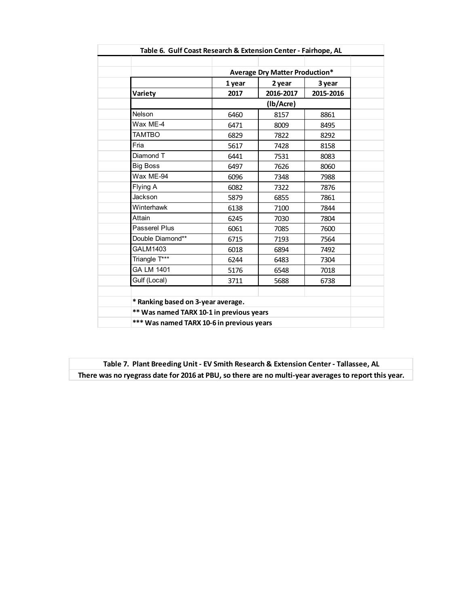|                                           |        | <b>Average Dry Matter Production*</b> |           |
|-------------------------------------------|--------|---------------------------------------|-----------|
|                                           |        |                                       |           |
|                                           | 1 year | 2 year                                | 3 year    |
| <b>Variety</b>                            | 2017   | 2016-2017                             | 2015-2016 |
|                                           |        | (lb/Acre)                             |           |
| <b>Nelson</b>                             | 6460   | 8157                                  | 8861      |
| Wax ME-4                                  | 6471   | 8009                                  | 8495      |
| <b>TAMTBO</b>                             | 6829   | 7822                                  | 8292      |
| Fria                                      | 5617   | 7428                                  | 8158      |
| Diamond T                                 | 6441   | 7531                                  | 8083      |
| <b>Big Boss</b>                           | 6497   | 7626                                  | 8060      |
| Wax ME-94                                 | 6096   | 7348                                  | 7988      |
| Flying A                                  | 6082   | 7322                                  | 7876      |
| Jackson                                   | 5879   | 6855                                  | 7861      |
| Winterhawk                                | 6138   | 7100                                  | 7844      |
| Attain                                    | 6245   | 7030                                  | 7804      |
| Passerel Plus                             | 6061   | 7085                                  | 7600      |
| Double Diamond**                          | 6715   | 7193                                  | 7564      |
| GALM1403                                  | 6018   | 6894                                  | 7492      |
| Triangle T***                             | 6244   | 6483                                  | 7304      |
| GA LM 1401                                | 5176   | 6548                                  | 7018      |
| Gulf (Local)                              | 3711   | 5688                                  | 6738      |
|                                           |        |                                       |           |
| * Ranking based on 3-year average.        |        |                                       |           |
| ** Was named TARX 10-1 in previous years  |        |                                       |           |
| *** Was named TARX 10-6 in previous years |        |                                       |           |

**Table 7. Plant Breeding Unit ‐ EV Smith Research & Extension Center ‐ Tallassee, AL There was no ryegrass date for 2016 at PBU, so there are no multi‐year averages to report this year.**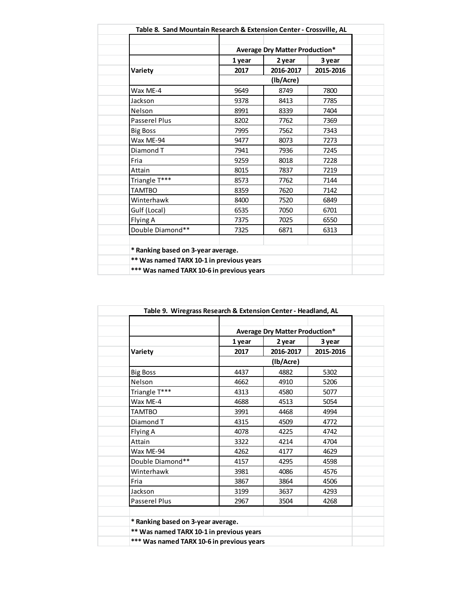|                                           |        | <b>Average Dry Matter Production*</b> |           |  |
|-------------------------------------------|--------|---------------------------------------|-----------|--|
|                                           | 1 year | 2 year                                | 3 year    |  |
| Variety                                   | 2017   | 2016-2017                             | 2015-2016 |  |
|                                           |        | (lb/Acre)                             |           |  |
| Wax ME-4                                  | 9649   | 8749                                  | 7800      |  |
| Jackson                                   | 9378   | 8413                                  | 7785      |  |
| Nelson                                    | 8991   | 8339                                  | 7404      |  |
| Passerel Plus                             | 8202   | 7762                                  | 7369      |  |
| <b>Big Boss</b>                           | 7995   | 7562                                  | 7343      |  |
| Wax ME-94                                 | 9477   | 8073                                  | 7273      |  |
| Diamond T                                 | 7941   | 7936                                  | 7245      |  |
| Fria                                      | 9259   | 8018                                  | 7228      |  |
| Attain                                    | 8015   | 7837                                  | 7219      |  |
| Triangle T***                             | 8573   | 7762                                  | 7144      |  |
| <b>TAMTBO</b>                             | 8359   | 7620                                  | 7142      |  |
| Winterhawk                                | 8400   | 7520                                  | 6849      |  |
| Gulf (Local)                              | 6535   | 7050                                  | 6701      |  |
| Flying A                                  | 7375   | 7025                                  | 6550      |  |
| Double Diamond**                          | 7325   | 6871                                  | 6313      |  |
|                                           |        |                                       |           |  |
| * Ranking based on 3-year average.        |        |                                       |           |  |
| ** Was named TARX 10-1 in previous years  |        |                                       |           |  |
| *** Was named TARX 10-6 in previous years |        |                                       |           |  |

| Table 9. Wiregrass Research & Extension Center - Headland, AL |        |                                       |           |  |
|---------------------------------------------------------------|--------|---------------------------------------|-----------|--|
|                                                               |        | <b>Average Dry Matter Production*</b> |           |  |
|                                                               | 1 year | 2 year                                | 3 year    |  |
| Variety                                                       | 2017   | 2016-2017                             | 2015-2016 |  |
|                                                               |        | (Ib/Acre)                             |           |  |
| <b>Big Boss</b>                                               | 4437   | 4882                                  | 5302      |  |
| Nelson                                                        | 4662   | 4910                                  | 5206      |  |
| Triangle T***                                                 | 4313   | 4580                                  | 5077      |  |
| Wax ME-4                                                      | 4688   | 4513                                  | 5054      |  |
| <b>TAMTBO</b>                                                 | 3991   | 4468                                  | 4994      |  |
| Diamond T                                                     | 4315   | 4509                                  | 4772      |  |
| Flying A                                                      | 4078   | 4225                                  | 4742      |  |
| Attain                                                        | 3322   | 4214                                  | 4704      |  |
| Wax ME-94                                                     | 4262   | 4177                                  | 4629      |  |
| Double Diamond**                                              | 4157   | 4295                                  | 4598      |  |
| Winterhawk                                                    | 3981   | 4086                                  | 4576      |  |
| Fria                                                          | 3867   | 3864                                  | 4506      |  |
| Jackson                                                       | 3199   | 3637                                  | 4293      |  |
| Passerel Plus                                                 | 2967   | 3504                                  | 4268      |  |
|                                                               |        |                                       |           |  |
| * Ranking based on 3-year average.                            |        |                                       |           |  |
| ** Was named TARX 10-1 in previous years                      |        |                                       |           |  |
| *** Was named TARX 10-6 in previous years                     |        |                                       |           |  |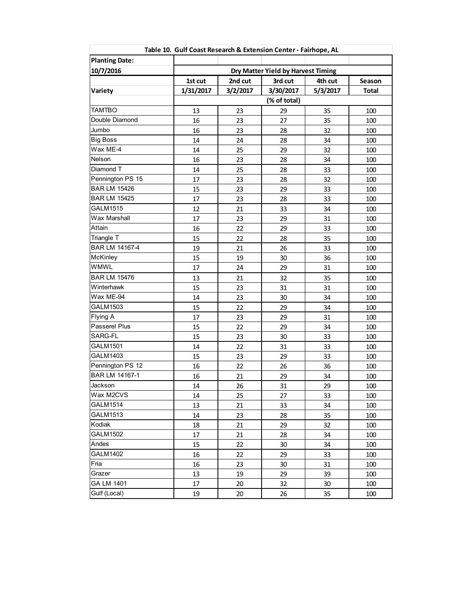|                       | Table 10. Gulf Coast Research & Extension Center - Fairhope, AL |          |                                    |          |              |
|-----------------------|-----------------------------------------------------------------|----------|------------------------------------|----------|--------------|
| <b>Planting Date:</b> |                                                                 |          |                                    |          |              |
| 10/7/2016             |                                                                 |          | Dry Matter Yield by Harvest Timing |          |              |
|                       | 1st cut                                                         | 2nd cut  | 3rd cut                            | 4th cut  | Season       |
| Variety               | 1/31/2017                                                       | 3/2/2017 | 3/30/2017                          | 5/3/2017 | <b>Total</b> |
|                       |                                                                 |          | (% of total)                       |          |              |
| <b>TAMTBO</b>         | 13                                                              | 23       | 29                                 | 35       | 100          |
| Double Diamond        | 16                                                              | 23       | 27                                 | 35       | 100          |
| Jumbo                 | 16                                                              | 23       | 28                                 | 32       | 100          |
| <b>Big Boss</b>       | 14                                                              | 24       | 28                                 | 34       | 100          |
| Wax ME-4              | 14                                                              | 25       | 29                                 | 32       | 100          |
| Nelson                | 16                                                              | 23       | 28                                 | 34       | 100          |
| Diamond T             | 14                                                              | 25       | 28                                 | 33       | 100          |
| Pennington PS 15      | 17                                                              | 23       | 28                                 | 32       | 100          |
| <b>BAR LM 15426</b>   | 15                                                              | 23       | 29                                 | 33       | 100          |
| <b>BAR LM 15425</b>   | 17                                                              | 23       | 28                                 | 33       | 100          |
| GALM1515              | 12                                                              | 21       | 33                                 | 34       | 100          |
| Wax Marshall          | 17                                                              | 23       | 29                                 | 31       | 100          |
| Attain                | 16                                                              | 22       | 29                                 | 33       | 100          |
| Triangle T            | 15                                                              | 22       | 28                                 | 35       | 100          |
| BAR LM 14167-4        | 19                                                              | 21       | 26                                 | 33       | 100          |
| McKinley              | 15                                                              | 19       | 30                                 | 36       | 100          |
| <b>WMWL</b>           | 17                                                              | 24       | 29                                 | 31       | 100          |
| <b>BAR LM 15476</b>   | 13                                                              | 21       | 32                                 | 35       | 100          |
| Winterhawk            | 15                                                              | 23       | 31                                 | 31       | 100          |
| Wax ME-94             | 14                                                              | 23       | 30                                 | 34       | 100          |
| GALM1503              | 15                                                              | 22       | 29                                 | 34       | 100          |
| Flying A              | 17                                                              | 23       | 29                                 | 31       | 100          |
| Passerel Plus         | 15                                                              | 22       | 29                                 | 34       | 100          |
| SARG-FL               | 15                                                              | 23       | 30                                 | 33       | 100          |
| GALM1501              | 14                                                              | 22       | 31                                 | 33       | 100          |
| GALM1403              | 15                                                              | 23       | 29                                 | 33       | 100          |
| Pennington PS 12      | 16                                                              | 22       | 26                                 | 36       | 100          |
| BAR LM 14167-1        | 16                                                              | 21       | 29                                 | 34       | 100          |
| Jackson               | 14                                                              | 26       | 31                                 | 29       | 100          |
| Wax M2CVS             | 14                                                              | 25       | 27                                 | 33       | 100          |
| <b>GALM1514</b>       | 13                                                              | 21       | 33                                 | 34       | 100          |
| <b>GALM1513</b>       | 14                                                              | 23       | 28                                 | 35       | 100          |
| Kodiak                | 18                                                              | 21       | 29                                 | 32       | 100          |
| <b>GALM1502</b>       | 17                                                              | 21       | 28                                 | 34       | 100          |
| Andes                 | 15                                                              | 22       | 30                                 | 34       | 100          |
| GALM1402              | 16                                                              | 22       | 29                                 | 33       | 100          |
| Fria                  | 16                                                              | 23       | 30                                 | 31       | 100          |
| Grazer                | 13                                                              | 19       | 29                                 | 39       | 100          |
| GA LM 1401            | 17                                                              | 20       | 32                                 | 30       | 100          |
| Gulf (Local)          | 19                                                              | 20       | 26                                 | 35       | 100          |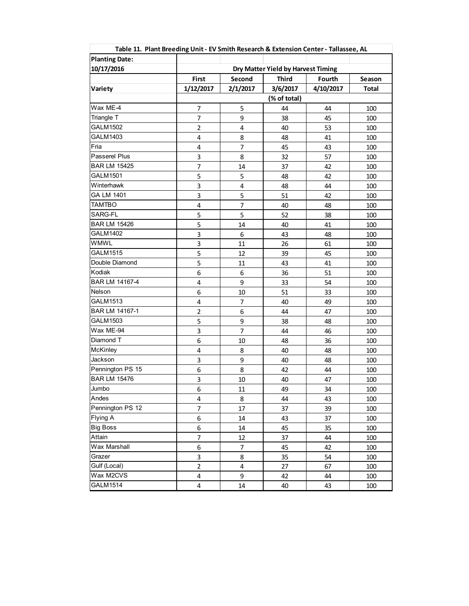|                       | Table 11. Plant Breeding Unit - EV Smith Research & Extension Center - Tallassee, AL |                  |                                    |           |              |
|-----------------------|--------------------------------------------------------------------------------------|------------------|------------------------------------|-----------|--------------|
| <b>Planting Date:</b> |                                                                                      |                  |                                    |           |              |
| 10/17/2016            |                                                                                      |                  | Dry Matter Yield by Harvest Timing |           |              |
|                       | First                                                                                | Second           | <b>Third</b>                       | Fourth    | Season       |
| Variety               | 1/12/2017                                                                            | 2/1/2017         | 3/6/2017                           | 4/10/2017 | <b>Total</b> |
|                       |                                                                                      |                  | (% of total)                       |           |              |
| Wax ME-4              | $\overline{7}$                                                                       | 5                | 44                                 | 44        | 100          |
| Triangle T            | 7                                                                                    | 9                | 38                                 | 45        | 100          |
| GALM1502              | $\overline{2}$                                                                       | $\overline{4}$   | 40                                 | 53        | 100          |
| GALM1403              | 4                                                                                    | 8                | 48                                 | 41        | 100          |
| Fria                  | 4                                                                                    | $\overline{7}$   | 45                                 | 43        | 100          |
| Passerel Plus         | 3                                                                                    | 8                | 32                                 | 57        | 100          |
| <b>BAR LM 15425</b>   | $\overline{7}$                                                                       | 14               | 37                                 | 42        | 100          |
| GALM1501              | 5                                                                                    | 5                | 48                                 | 42        | 100          |
| Winterhawk            | 3                                                                                    | $\overline{4}$   | 48                                 | 44        | 100          |
| GA LM 1401            | 3                                                                                    | 5                | 51                                 | 42        | 100          |
| <b>TAMTBO</b>         | $\overline{\mathbf{4}}$                                                              | $\overline{7}$   | 40                                 | 48        | 100          |
| SARG-FL               | 5                                                                                    | 5                | 52                                 | 38        | 100          |
| <b>BAR LM 15426</b>   | 5                                                                                    | 14               | 40                                 | 41        | 100          |
| <b>GALM1402</b>       | $\overline{\mathbf{3}}$                                                              | $\boldsymbol{6}$ | 43                                 | 48        | 100          |
| WMWL                  | $\overline{\mathbf{3}}$                                                              | 11               | 26                                 | 61        | 100          |
| GALM1515              | $\overline{\mathbf{5}}$                                                              | 12               | 39                                 | 45        | 100          |
| Double Diamond        | 5                                                                                    | 11               | 43                                 | 41        | 100          |
| Kodiak                | 6                                                                                    | 6                | 36                                 | 51        | 100          |
| BAR LM 14167-4        | 4                                                                                    | 9                | 33                                 | 54        | 100          |
| Nelson                | 6                                                                                    | 10               | 51                                 | 33        | 100          |
| GALM1513              | 4                                                                                    | 7                | 40                                 | 49        | 100          |
| BAR LM 14167-1        | $\overline{2}$                                                                       | $\boldsymbol{6}$ | 44                                 | 47        | 100          |
| GALM1503              | 5                                                                                    | 9                | 38                                 | 48        | 100          |
| Wax ME-94             | 3                                                                                    | $\overline{7}$   | 44                                 | 46        | 100          |
| Diamond T             | 6                                                                                    | 10               | 48                                 | 36        | 100          |
| McKinley              | $\pmb{4}$                                                                            | 8                | 40                                 | 48        | 100          |
| Jackson               | 3                                                                                    | 9                | 40                                 | 48        | 100          |
| Pennington PS 15      | $\boldsymbol{6}$                                                                     | 8                | 42                                 | 44        | 100          |
| <b>BAR LM 15476</b>   | 3                                                                                    | 10               | 40                                 | 47        | 100          |
| Jumbo                 | 6                                                                                    | 11               | 49                                 | 34        | 100          |
| Andes                 | 4                                                                                    | 8                | 44                                 | 43        | 100          |
| Pennington PS 12      | $\overline{7}$                                                                       | 17               | 37                                 | 39        | 100          |
| Flying A              | 6                                                                                    | 14               | 43                                 | 37        | 100          |
| <b>Big Boss</b>       | 6                                                                                    | 14               | 45                                 | 35        | 100          |
| Attain                | $\overline{7}$                                                                       | 12               | 37                                 | 44        | 100          |
| Wax Marshall          | 6                                                                                    | $\overline{7}$   | 45                                 | 42        | 100          |
| Grazer                | 3                                                                                    | 8                | 35                                 | 54        | 100          |
| Gulf (Local)          | $\overline{2}$                                                                       | 4                | 27                                 | 67        | 100          |
| Wax M2CVS             | 4                                                                                    | 9                | 42                                 | 44        | 100          |
| GALM1514              | $\overline{\mathbf{4}}$                                                              | 14               | 40                                 | 43        | 100          |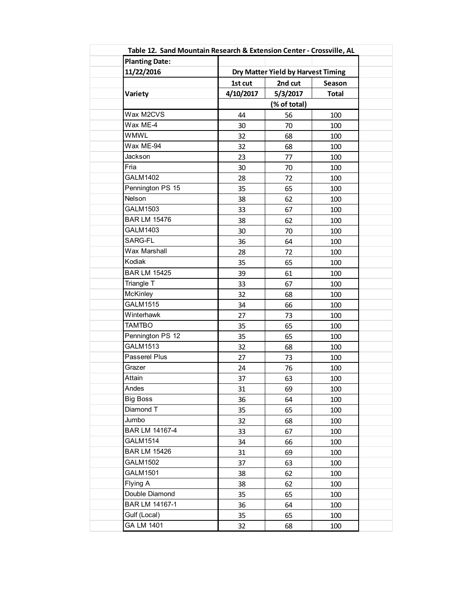| <b>Planting Date:</b> |           |                                    |              |  |  |
|-----------------------|-----------|------------------------------------|--------------|--|--|
| 11/22/2016            |           | Dry Matter Yield by Harvest Timing |              |  |  |
|                       | 1st cut   | 2nd cut                            | Season       |  |  |
| Variety               | 4/10/2017 | 5/3/2017                           | <b>Total</b> |  |  |
|                       |           | (% of total)                       |              |  |  |
| Wax M2CVS             | 44        | 56                                 | 100          |  |  |
| Wax ME-4              | 30        | 70                                 | 100          |  |  |
| <b>WMWL</b>           | 32        | 68                                 | 100          |  |  |
| Wax ME-94             | 32        | 68                                 | 100          |  |  |
| Jackson               | 23        | 77                                 | 100          |  |  |
| Fria                  | 30        | 70                                 | 100          |  |  |
| <b>GALM1402</b>       | 28        | 72                                 | 100          |  |  |
| Pennington PS 15      | 35        | 65                                 | 100          |  |  |
| Nelson                | 38        | 62                                 | 100          |  |  |
| <b>GALM1503</b>       | 33        | 67                                 | 100          |  |  |
| <b>BAR LM 15476</b>   | 38        | 62                                 | 100          |  |  |
| GALM1403              | 30        | 70                                 | 100          |  |  |
| SARG-FL               | 36        | 64                                 | 100          |  |  |
| Wax Marshall          | 28        | 72                                 | 100          |  |  |
| Kodiak                | 35        | 65                                 | 100          |  |  |
| <b>BAR LM 15425</b>   | 39        | 61                                 | 100          |  |  |
| Triangle T            | 33        | 67                                 | 100          |  |  |
| <b>McKinley</b>       | 32        | 68                                 | 100          |  |  |
| <b>GALM1515</b>       | 34        | 66                                 | 100          |  |  |
| Winterhawk            | 27        | 73                                 | 100          |  |  |
| <b>TAMTBO</b>         | 35        | 65                                 | 100          |  |  |
| Pennington PS 12      | 35        | 65                                 | 100          |  |  |
| <b>GALM1513</b>       | 32        | 68                                 | 100          |  |  |
| Passerel Plus         | 27        | 73                                 | 100          |  |  |
| Grazer                | 24        | 76                                 | 100          |  |  |
| Attain                | 37        | 63                                 | 100          |  |  |
| Andes                 | 31        | 69                                 | 100          |  |  |
| <b>Big Boss</b>       | 36        | 64                                 | 100          |  |  |
| Diamond T             | 35        | 65                                 | 100          |  |  |
| Jumbo                 | 32        | 68                                 | 100          |  |  |
| BAR LM 14167-4        | 33        | 67                                 | 100          |  |  |
| <b>GALM1514</b>       | 34        | 66                                 | 100          |  |  |
| <b>BAR LM 15426</b>   | 31        | 69                                 | 100          |  |  |
| <b>GALM1502</b>       | 37        | 63                                 | 100          |  |  |
| <b>GALM1501</b>       | 38        | 62                                 | 100          |  |  |
| Flying A              | 38        | 62                                 | 100          |  |  |
| Double Diamond        | 35        | 65                                 | 100          |  |  |
| BAR LM 14167-1        | 36        | 64                                 | 100          |  |  |
| Gulf (Local)          | 35        | 65                                 | 100          |  |  |
| GA LM 1401            | 32        | 68                                 | 100          |  |  |
|                       |           |                                    |              |  |  |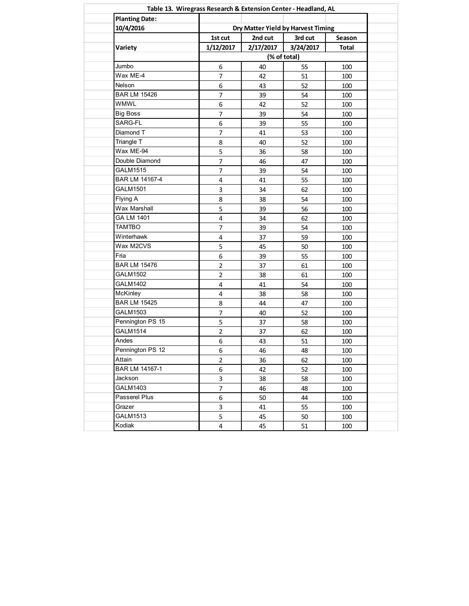| <b>Planting Date:</b> |                                    |           |           |              |
|-----------------------|------------------------------------|-----------|-----------|--------------|
| 10/4/2016<br>Variety  | Dry Matter Yield by Harvest Timing |           |           |              |
|                       | 1st cut                            | 2nd cut   | 3rd cut   | Season       |
|                       | 1/12/2017                          | 2/17/2017 | 3/24/2017 | <b>Total</b> |
|                       | (% of total)                       |           |           |              |
| Jumbo                 | 6                                  | 40        | 55        | 100          |
| Wax ME-4              | $\overline{7}$                     | 42        | 51        | 100          |
| Nelson                | $\boldsymbol{6}$                   | 43        | 52        | 100          |
| <b>BAR LM 15426</b>   | $\overline{7}$                     | 39        | 54        | 100          |
| <b>WMWL</b>           | $\boldsymbol{6}$                   | 42        | 52        | 100          |
| <b>Big Boss</b>       | $\overline{7}$                     | 39        | 54        | 100          |
| SARG-FL               | $\boldsymbol{6}$                   | 39        | 55        | 100          |
| Diamond T             | $\overline{7}$                     | 41        | 53        | 100          |
| Triangle T            | 8                                  | 40        | 52        | 100          |
| Wax ME-94             | 5                                  | 36        | 58        | 100          |
| Double Diamond        | $\overline{7}$                     | 46        | 47        | 100          |
| <b>GALM1515</b>       | $\overline{7}$                     | 39        | 54        | 100          |
| BAR LM 14167-4        | $\overline{\mathbf{4}}$            | 41        | 55        | 100          |
| GALM1501              | $\overline{\mathbf{3}}$            | 34        | 62        | 100          |
| Flying A              | 8                                  | 38        | 54        | 100          |
| Wax Marshall          | 5                                  | 39        | 56        | 100          |
| GA LM 1401            | $\pmb{4}$                          | 34        | 62        | 100          |
| <b>TAMTBO</b>         | $\overline{7}$                     | 39        | 54        | 100          |
| Winterhawk            | $\overline{4}$                     | 37        | 59        | 100          |
| Wax M2CVS             | 5                                  | 45        | 50        | 100          |
| Fria                  | 6                                  | 39        | 55        | 100          |
| <b>BAR LM 15476</b>   | $\mathbf 2$                        | 37        | 61        | 100          |
| <b>GALM1502</b>       | $\overline{2}$                     | 38        | 61        | 100          |
| <b>GALM1402</b>       | $\pmb{4}$                          | 41        | 54        | 100          |
| McKinley              | $\pmb{4}$                          | 38        | 58        | 100          |
| <b>BAR LM 15425</b>   | 8                                  | 44        | 47        | 100          |
| GALM1503              | $\overline{7}$                     | 40        | 52        | 100          |
| Pennington PS 15      | 5                                  | 37        | 58        | 100          |
| <b>GALM1514</b>       | $\overline{2}$                     | 37        | 62        | 100          |
| Andes                 | 6                                  | 43        | 51        | 100          |
| Pennington PS 12      | 6                                  | 46        | 48        | 100          |
| Attain                | $\overline{2}$                     | 36        | 62        | 100          |
| BAR LM 14167-1        | 6                                  | 42        | 52        | 100          |
| Jackson               | 3                                  | 38        | 58        | 100          |
| GALM1403              | $\overline{7}$                     | 46        | 48        | 100          |
| Passerel Plus         | 6                                  | 50        | 44        | 100          |
| Grazer                | 3                                  | 41        | 55        | 100          |
| GALM1513              | 5                                  | 45        | 50        | 100          |
| Kodiak                | 4                                  | 45        | 51        | 100          |